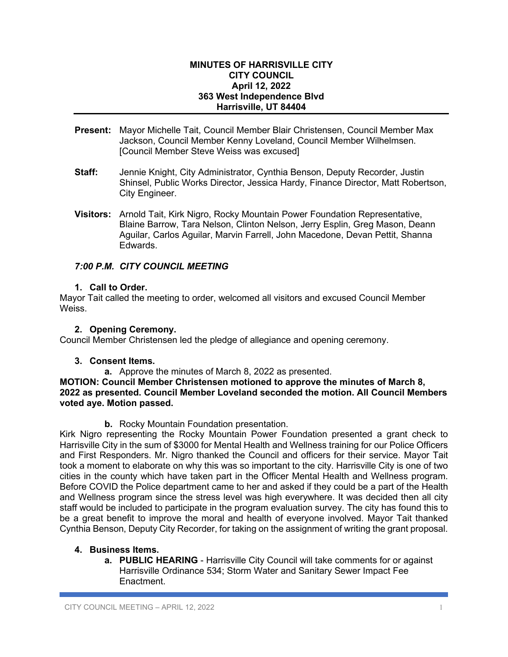#### **MINUTES OF HARRISVILLE CITY CITY COUNCIL April 12, 2022 363 West Independence Blvd Harrisville, UT 84404**

- **Present:** Mayor Michelle Tait, Council Member Blair Christensen, Council Member Max Jackson, Council Member Kenny Loveland, Council Member Wilhelmsen. [Council Member Steve Weiss was excused]
- **Staff:** Jennie Knight, City Administrator, Cynthia Benson, Deputy Recorder, Justin Shinsel, Public Works Director, Jessica Hardy, Finance Director, Matt Robertson, City Engineer.
- **Visitors:** Arnold Tait, Kirk Nigro, Rocky Mountain Power Foundation Representative, Blaine Barrow, Tara Nelson, Clinton Nelson, Jerry Esplin, Greg Mason, Deann Aguilar, Carlos Aguilar, Marvin Farrell, John Macedone, Devan Pettit, Shanna Edwards.

# *7:00 P.M. CITY COUNCIL MEETING*

### **1. Call to Order.**

Mayor Tait called the meeting to order, welcomed all visitors and excused Council Member Weiss.

### **2. Opening Ceremony.**

Council Member Christensen led the pledge of allegiance and opening ceremony.

# **3. Consent Items.**

**a.** Approve the minutes of March 8, 2022 as presented.

### **MOTION: Council Member Christensen motioned to approve the minutes of March 8, 2022 as presented. Council Member Loveland seconded the motion. All Council Members voted aye. Motion passed.**

**b.** Rocky Mountain Foundation presentation.

Kirk Nigro representing the Rocky Mountain Power Foundation presented a grant check to Harrisville City in the sum of \$3000 for Mental Health and Wellness training for our Police Officers and First Responders. Mr. Nigro thanked the Council and officers for their service. Mayor Tait took a moment to elaborate on why this was so important to the city. Harrisville City is one of two cities in the county which have taken part in the Officer Mental Health and Wellness program. Before COVID the Police department came to her and asked if they could be a part of the Health and Wellness program since the stress level was high everywhere. It was decided then all city staff would be included to participate in the program evaluation survey. The city has found this to be a great benefit to improve the moral and health of everyone involved. Mayor Tait thanked Cynthia Benson, Deputy City Recorder, for taking on the assignment of writing the grant proposal.

# **4. Business Items.**

**a. PUBLIC HEARING** - Harrisville City Council will take comments for or against Harrisville Ordinance 534; Storm Water and Sanitary Sewer Impact Fee **Enactment**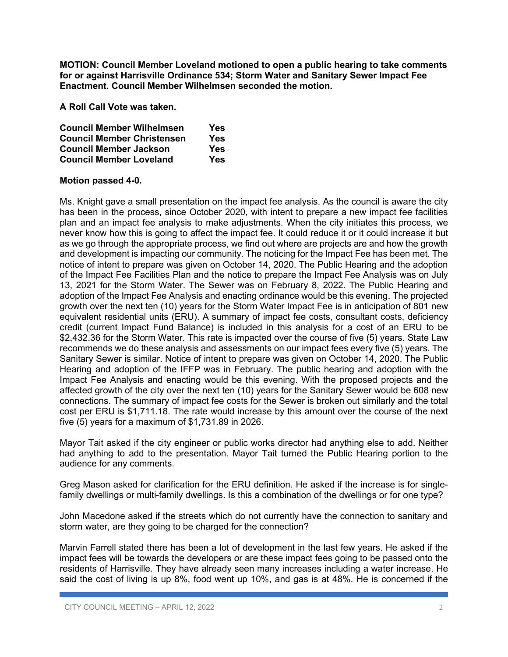**MOTION: Council Member Loveland motioned to open a public hearing to take comments for or against Harrisville Ordinance 534; Storm Water and Sanitary Sewer Impact Fee Enactment. Council Member Wilhelmsen seconded the motion.**

**A Roll Call Vote was taken.**

| <b>Council Member Wilhelmsen</b>  | Yes |
|-----------------------------------|-----|
| <b>Council Member Christensen</b> | Yes |
| <b>Council Member Jackson</b>     | Yes |
| <b>Council Member Loveland</b>    | Yes |

### **Motion passed 4-0.**

Ms. Knight gave a small presentation on the impact fee analysis. As the council is aware the city has been in the process, since October 2020, with intent to prepare a new impact fee facilities plan and an impact fee analysis to make adjustments. When the city initiates this process, we never know how this is going to affect the impact fee. It could reduce it or it could increase it but as we go through the appropriate process, we find out where are projects are and how the growth and development is impacting our community. The noticing for the Impact Fee has been met. The notice of intent to prepare was given on October 14, 2020. The Public Hearing and the adoption of the Impact Fee Facilities Plan and the notice to prepare the Impact Fee Analysis was on July 13, 2021 for the Storm Water. The Sewer was on February 8, 2022. The Public Hearing and adoption of the Impact Fee Analysis and enacting ordinance would be this evening. The projected growth over the next ten (10) years for the Storm Water Impact Fee is in anticipation of 801 new equivalent residential units (ERU). A summary of impact fee costs, consultant costs, deficiency credit (current Impact Fund Balance) is included in this analysis for a cost of an ERU to be \$2,432.36 for the Storm Water. This rate is impacted over the course of five (5) years. State Law recommends we do these analysis and assessments on our impact fees every five (5) years. The Sanitary Sewer is similar. Notice of intent to prepare was given on October 14, 2020. The Public Hearing and adoption of the IFFP was in February. The public hearing and adoption with the Impact Fee Analysis and enacting would be this evening. With the proposed projects and the affected growth of the city over the next ten (10) years for the Sanitary Sewer would be 608 new connections. The summary of impact fee costs for the Sewer is broken out similarly and the total cost per ERU is \$1,711.18. The rate would increase by this amount over the course of the next five (5) years for a maximum of \$1,731.89 in 2026.

Mayor Tait asked if the city engineer or public works director had anything else to add. Neither had anything to add to the presentation. Mayor Tait turned the Public Hearing portion to the audience for any comments.

Greg Mason asked for clarification for the ERU definition. He asked if the increase is for singlefamily dwellings or multi-family dwellings. Is this a combination of the dwellings or for one type?

John Macedone asked if the streets which do not currently have the connection to sanitary and storm water, are they going to be charged for the connection?

Marvin Farrell stated there has been a lot of development in the last few years. He asked if the impact fees will be towards the developers or are these impact fees going to be passed onto the residents of Harrisville. They have already seen many increases including a water increase. He said the cost of living is up 8%, food went up 10%, and gas is at 48%. He is concerned if the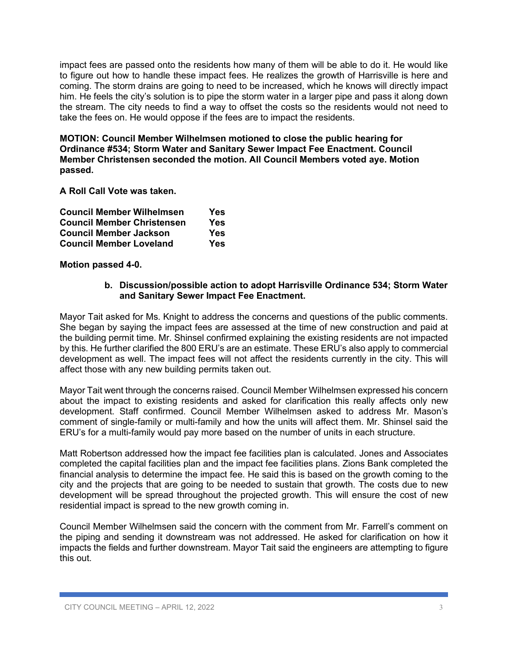impact fees are passed onto the residents how many of them will be able to do it. He would like to figure out how to handle these impact fees. He realizes the growth of Harrisville is here and coming. The storm drains are going to need to be increased, which he knows will directly impact him. He feels the city's solution is to pipe the storm water in a larger pipe and pass it along down the stream. The city needs to find a way to offset the costs so the residents would not need to take the fees on. He would oppose if the fees are to impact the residents.

**MOTION: Council Member Wilhelmsen motioned to close the public hearing for Ordinance #534; Storm Water and Sanitary Sewer Impact Fee Enactment. Council Member Christensen seconded the motion. All Council Members voted aye. Motion passed.**

**A Roll Call Vote was taken.**

| <b>Council Member Wilhelmsen</b>  | Yes |
|-----------------------------------|-----|
| <b>Council Member Christensen</b> | Yes |
| <b>Council Member Jackson</b>     | Yes |
| <b>Council Member Loveland</b>    | Yes |

**Motion passed 4-0.**

#### **b. Discussion/possible action to adopt Harrisville Ordinance 534; Storm Water and Sanitary Sewer Impact Fee Enactment.**

Mayor Tait asked for Ms. Knight to address the concerns and questions of the public comments. She began by saying the impact fees are assessed at the time of new construction and paid at the building permit time. Mr. Shinsel confirmed explaining the existing residents are not impacted by this. He further clarified the 800 ERU's are an estimate. These ERU's also apply to commercial development as well. The impact fees will not affect the residents currently in the city. This will affect those with any new building permits taken out.

Mayor Tait went through the concerns raised. Council Member Wilhelmsen expressed his concern about the impact to existing residents and asked for clarification this really affects only new development. Staff confirmed. Council Member Wilhelmsen asked to address Mr. Mason's comment of single-family or multi-family and how the units will affect them. Mr. Shinsel said the ERU's for a multi-family would pay more based on the number of units in each structure.

Matt Robertson addressed how the impact fee facilities plan is calculated. Jones and Associates completed the capital facilities plan and the impact fee facilities plans. Zions Bank completed the financial analysis to determine the impact fee. He said this is based on the growth coming to the city and the projects that are going to be needed to sustain that growth. The costs due to new development will be spread throughout the projected growth. This will ensure the cost of new residential impact is spread to the new growth coming in.

Council Member Wilhelmsen said the concern with the comment from Mr. Farrell's comment on the piping and sending it downstream was not addressed. He asked for clarification on how it impacts the fields and further downstream. Mayor Tait said the engineers are attempting to figure this out.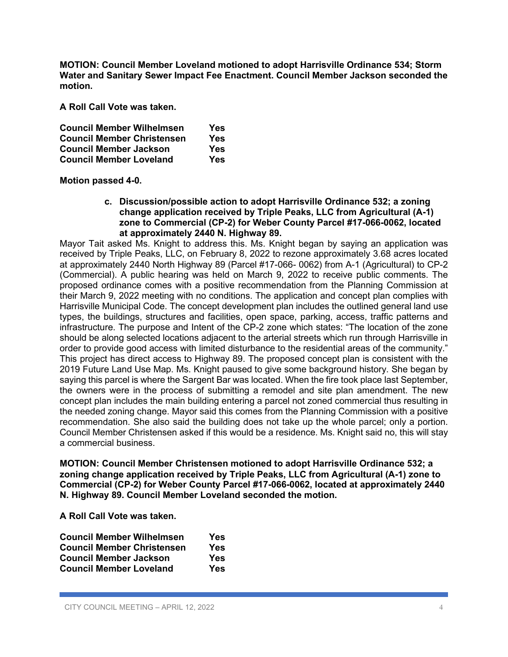**MOTION: Council Member Loveland motioned to adopt Harrisville Ordinance 534; Storm Water and Sanitary Sewer Impact Fee Enactment. Council Member Jackson seconded the motion.** 

**A Roll Call Vote was taken.**

| <b>Council Member Wilhelmsen</b>  | Yes |
|-----------------------------------|-----|
| <b>Council Member Christensen</b> | Yes |
| <b>Council Member Jackson</b>     | Yes |
| <b>Council Member Loveland</b>    | Yes |

**Motion passed 4-0.**

**c. Discussion/possible action to adopt Harrisville Ordinance 532; a zoning change application received by Triple Peaks, LLC from Agricultural (A-1) zone to Commercial (CP-2) for Weber County Parcel #17-066-0062, located at approximately 2440 N. Highway 89.** 

Mayor Tait asked Ms. Knight to address this. Ms. Knight began by saying an application was received by Triple Peaks, LLC, on February 8, 2022 to rezone approximately 3.68 acres located at approximately 2440 North Highway 89 (Parcel #17-066- 0062) from A-1 (Agricultural) to CP-2 (Commercial). A public hearing was held on March 9, 2022 to receive public comments. The proposed ordinance comes with a positive recommendation from the Planning Commission at their March 9, 2022 meeting with no conditions. The application and concept plan complies with Harrisville Municipal Code. The concept development plan includes the outlined general land use types, the buildings, structures and facilities, open space, parking, access, traffic patterns and infrastructure. The purpose and Intent of the CP-2 zone which states: "The location of the zone should be along selected locations adjacent to the arterial streets which run through Harrisville in order to provide good access with limited disturbance to the residential areas of the community." This project has direct access to Highway 89. The proposed concept plan is consistent with the 2019 Future Land Use Map. Ms. Knight paused to give some background history. She began by saying this parcel is where the Sargent Bar was located. When the fire took place last September, the owners were in the process of submitting a remodel and site plan amendment. The new concept plan includes the main building entering a parcel not zoned commercial thus resulting in the needed zoning change. Mayor said this comes from the Planning Commission with a positive recommendation. She also said the building does not take up the whole parcel; only a portion. Council Member Christensen asked if this would be a residence. Ms. Knight said no, this will stay a commercial business.

**MOTION: Council Member Christensen motioned to adopt Harrisville Ordinance 532; a zoning change application received by Triple Peaks, LLC from Agricultural (A-1) zone to Commercial (CP-2) for Weber County Parcel #17-066-0062, located at approximately 2440 N. Highway 89. Council Member Loveland seconded the motion.** 

**A Roll Call Vote was taken.**

| <b>Council Member Wilhelmsen</b>  | Yes |
|-----------------------------------|-----|
| <b>Council Member Christensen</b> | Yes |
| <b>Council Member Jackson</b>     | Yes |
| <b>Council Member Loveland</b>    | Yes |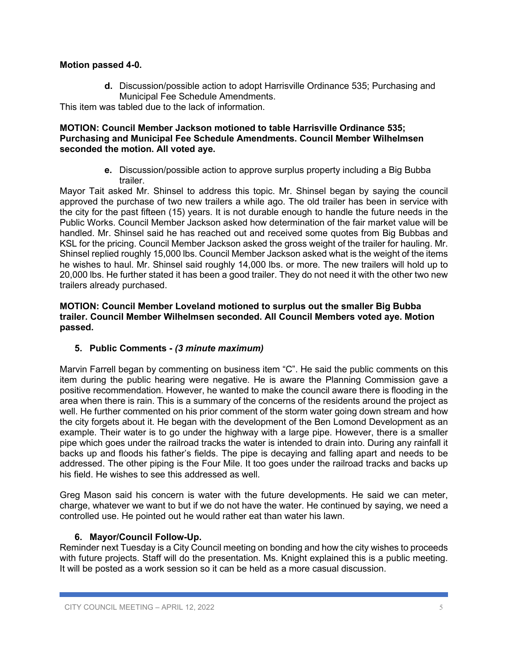### **Motion passed 4-0.**

**d.** Discussion/possible action to adopt Harrisville Ordinance 535; Purchasing and Municipal Fee Schedule Amendments.

This item was tabled due to the lack of information.

### **MOTION: Council Member Jackson motioned to table Harrisville Ordinance 535; Purchasing and Municipal Fee Schedule Amendments. Council Member Wilhelmsen seconded the motion. All voted aye.**

**e.** Discussion/possible action to approve surplus property including a Big Bubba trailer.

Mayor Tait asked Mr. Shinsel to address this topic. Mr. Shinsel began by saying the council approved the purchase of two new trailers a while ago. The old trailer has been in service with the city for the past fifteen (15) years. It is not durable enough to handle the future needs in the Public Works. Council Member Jackson asked how determination of the fair market value will be handled. Mr. Shinsel said he has reached out and received some quotes from Big Bubbas and KSL for the pricing. Council Member Jackson asked the gross weight of the trailer for hauling. Mr. Shinsel replied roughly 15,000 lbs. Council Member Jackson asked what is the weight of the items he wishes to haul. Mr. Shinsel said roughly 14,000 lbs. or more. The new trailers will hold up to 20,000 lbs. He further stated it has been a good trailer. They do not need it with the other two new trailers already purchased.

#### **MOTION: Council Member Loveland motioned to surplus out the smaller Big Bubba trailer. Council Member Wilhelmsen seconded. All Council Members voted aye. Motion passed.**

# **5. Public Comments -** *(3 minute maximum)*

Marvin Farrell began by commenting on business item "C". He said the public comments on this item during the public hearing were negative. He is aware the Planning Commission gave a positive recommendation. However, he wanted to make the council aware there is flooding in the area when there is rain. This is a summary of the concerns of the residents around the project as well. He further commented on his prior comment of the storm water going down stream and how the city forgets about it. He began with the development of the Ben Lomond Development as an example. Their water is to go under the highway with a large pipe. However, there is a smaller pipe which goes under the railroad tracks the water is intended to drain into. During any rainfall it backs up and floods his father's fields. The pipe is decaying and falling apart and needs to be addressed. The other piping is the Four Mile. It too goes under the railroad tracks and backs up his field. He wishes to see this addressed as well.

Greg Mason said his concern is water with the future developments. He said we can meter, charge, whatever we want to but if we do not have the water. He continued by saying, we need a controlled use. He pointed out he would rather eat than water his lawn.

### **6. Mayor/Council Follow-Up.**

Reminder next Tuesday is a City Council meeting on bonding and how the city wishes to proceeds with future projects. Staff will do the presentation. Ms. Knight explained this is a public meeting. It will be posted as a work session so it can be held as a more casual discussion.